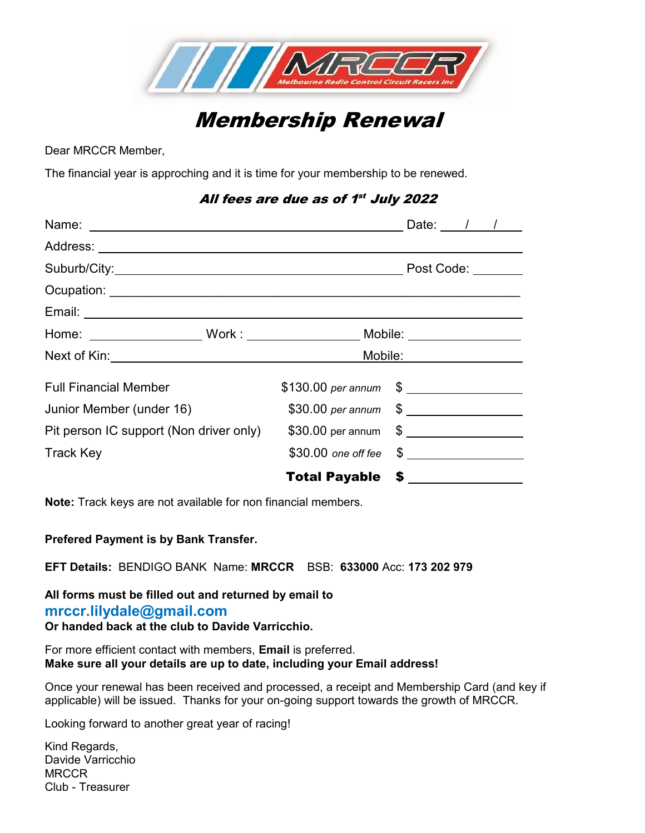

# Membership Renewal

Dear MRCCR Member,

The financial year is approching and it is time for your membership to be renewed.

#### All fees are due as of 1st July 2022

| Home: _____________________Work : ________________________Mobile: ______________ |  |                           |                                |  |  |
|----------------------------------------------------------------------------------|--|---------------------------|--------------------------------|--|--|
|                                                                                  |  |                           | Mobi <u>le: ______________</u> |  |  |
| <b>Full Financial Member</b>                                                     |  | $$130.00\ per\ annum$ $$$ |                                |  |  |
| Junior Member (under 16)                                                         |  |                           |                                |  |  |
| Pit person IC support (Non driver only)                                          |  |                           |                                |  |  |
| <b>Track Key</b>                                                                 |  |                           |                                |  |  |
|                                                                                  |  | <b>Total Payable \$</b>   |                                |  |  |

**Note:** Track keys are not available for non financial members.

#### **Prefered Payment is by Bank Transfer.**

**EFT Details:** BENDIGO BANK Name: **MRCCR** BSB: **633000** Acc: **173 202 979**

#### **All forms must be filled out and returned by email to mrccr.lilydale@gmail.com Or handed back at the club to Davide Varricchio.**

For more efficient contact with members, **Email** is preferred. **Make sure all your details are up to date, including your Email address!**

Once your renewal has been received and processed, a receipt and Membership Card (and key if applicable) will be issued. Thanks for your on-going support towards the growth of MRCCR.

Looking forward to another great year of racing!

Kind Regards, Davide Varricchio **MRCCR** Club - Treasurer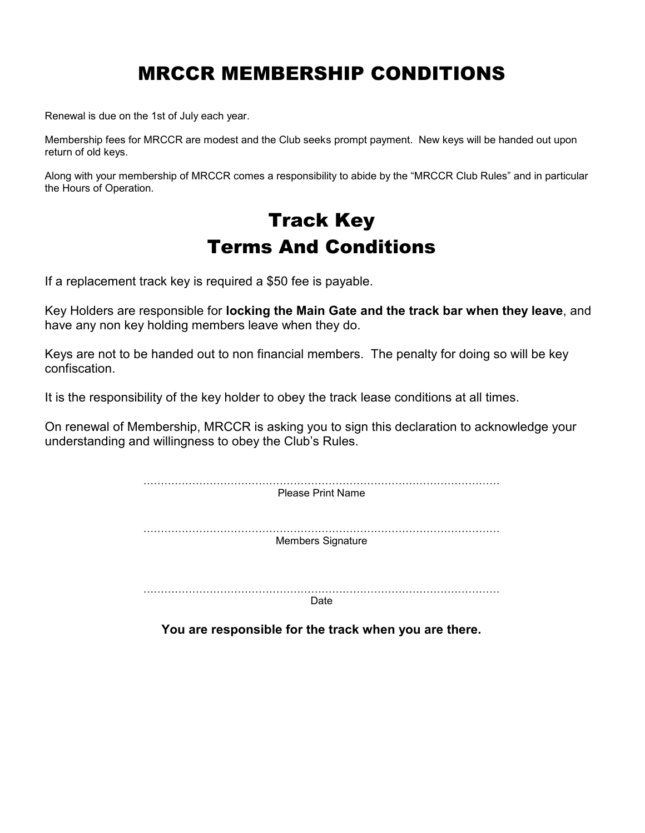## MRCCR MEMBERSHIP CONDITIONS

Renewal is due on the 1st of July each year.

Membership fees for MRCCR are modest and the Club seeks prompt payment. New keys will be handed out upon return of old keys.

Along with your membership of MRCCR comes a responsibility to abide by the "MRCCR Club Rules" and in particular the Hours of Operation.

## Track Key Terms And Conditions

If a replacement track key is required a \$50 fee is payable.

Key Holders are responsible for **locking the Main Gate and the track bar when they leave**, and have any non key holding members leave when they do.

Keys are not to be handed out to non financial members. The penalty for doing so will be key confiscation.

It is the responsibility of the key holder to obey the track lease conditions at all times.

On renewal of Membership, MRCCR is asking you to sign this declaration to acknowledge your understanding and willingness to obey the Club's Rules.

| <b>Please Print Name</b> |  |
|--------------------------|--|
| . .<br>Members Signature |  |
|                          |  |

**Date** 

**You are responsible for the track when you are there.**